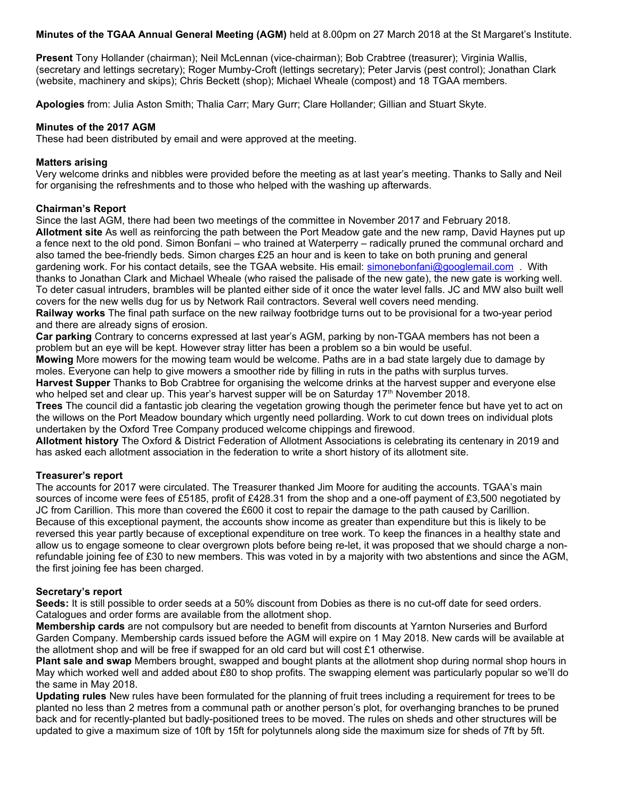**Minutes of the TGAA Annual General Meeting (AGM)** held at 8.00pm on 27 March 2018 at the St Margaret's Institute.

**Present** Tony Hollander (chairman); Neil McLennan (vice-chairman); Bob Crabtree (treasurer); Virginia Wallis, (secretary and lettings secretary); Roger Mumby-Croft (lettings secretary); Peter Jarvis (pest control); Jonathan Clark (website, machinery and skips); Chris Beckett (shop); Michael Wheale (compost) and 18 TGAA members.

**Apologies** from: Julia Aston Smith; Thalia Carr; Mary Gurr; Clare Hollander; Gillian and Stuart Skyte.

# **Minutes of the 2017 AGM**

These had been distributed by email and were approved at the meeting.

# **Matters arising**

Very welcome drinks and nibbles were provided before the meeting as at last year's meeting. Thanks to Sally and Neil for organising the refreshments and to those who helped with the washing up afterwards.

# **Chairman's Report**

Since the last AGM, there had been two meetings of the committee in November 2017 and February 2018.

**Allotment site** As well as reinforcing the path between the Port Meadow gate and the new ramp, David Haynes put up a fence next to the old pond. Simon Bonfani – who trained at Waterperry – radically pruned the communal orchard and also tamed the bee-friendly beds. Simon charges £25 an hour and is keen to take on both pruning and general gardening work. For his contact details, see the TGAA website. His email: [simonebonfani@googlemail.com](mailto:simonebonfani@googlemail.com) . With thanks to Jonathan Clark and Michael Wheale (who raised the palisade of the new gate), the new gate is working well. To deter casual intruders, brambles will be planted either side of it once the water level falls. JC and MW also built well covers for the new wells dug for us by Network Rail contractors. Several well covers need mending.

**Railway works** The final path surface on the new railway footbridge turns out to be provisional for a two-year period and there are already signs of erosion.

**Car parking** Contrary to concerns expressed at last year's AGM, parking by non-TGAA members has not been a problem but an eye will be kept. However stray litter has been a problem so a bin would be useful.

**Mowing** More mowers for the mowing team would be welcome. Paths are in a bad state largely due to damage by moles. Everyone can help to give mowers a smoother ride by filling in ruts in the paths with surplus turves.

**Harvest Supper** Thanks to Bob Crabtree for organising the welcome drinks at the harvest supper and everyone else who helped set and clear up. This year's harvest supper will be on Saturday  $17<sup>th</sup>$  November 2018.

**Trees** The council did a fantastic job clearing the vegetation growing though the perimeter fence but have yet to act on the willows on the Port Meadow boundary which urgently need pollarding. Work to cut down trees on individual plots undertaken by the Oxford Tree Company produced welcome chippings and firewood.

**Allotment history** The Oxford & District Federation of Allotment Associations is celebrating its centenary in 2019 and has asked each allotment association in the federation to write a short history of its allotment site.

# **Treasurer's report**

The accounts for 2017 were circulated. The Treasurer thanked Jim Moore for auditing the accounts. TGAA's main sources of income were fees of £5185, profit of £428.31 from the shop and a one-off payment of £3,500 negotiated by JC from Carillion. This more than covered the £600 it cost to repair the damage to the path caused by Carillion. Because of this exceptional payment, the accounts show income as greater than expenditure but this is likely to be reversed this year partly because of exceptional expenditure on tree work. To keep the finances in a healthy state and allow us to engage someone to clear overgrown plots before being re-let, it was proposed that we should charge a nonrefundable joining fee of £30 to new members. This was voted in by a majority with two abstentions and since the AGM, the first joining fee has been charged.

### **Secretary's report**

**Seeds:** It is still possible to order seeds at a 50% discount from Dobies as there is no cut-off date for seed orders. Catalogues and order forms are available from the allotment shop.

**Membership cards** are not compulsory but are needed to benefit from discounts at Yarnton Nurseries and Burford Garden Company. Membership cards issued before the AGM will expire on 1 May 2018. New cards will be available at the allotment shop and will be free if swapped for an old card but will cost £1 otherwise.

**Plant sale and swap** Members brought, swapped and bought plants at the allotment shop during normal shop hours in May which worked well and added about £80 to shop profits. The swapping element was particularly popular so we'll do the same in May 2018.

**Updating rules** New rules have been formulated for the planning of fruit trees including a requirement for trees to be planted no less than 2 metres from a communal path or another person's plot, for overhanging branches to be pruned back and for recently-planted but badly-positioned trees to be moved. The rules on sheds and other structures will be updated to give a maximum size of 10ft by 15ft for polytunnels along side the maximum size for sheds of 7ft by 5ft.